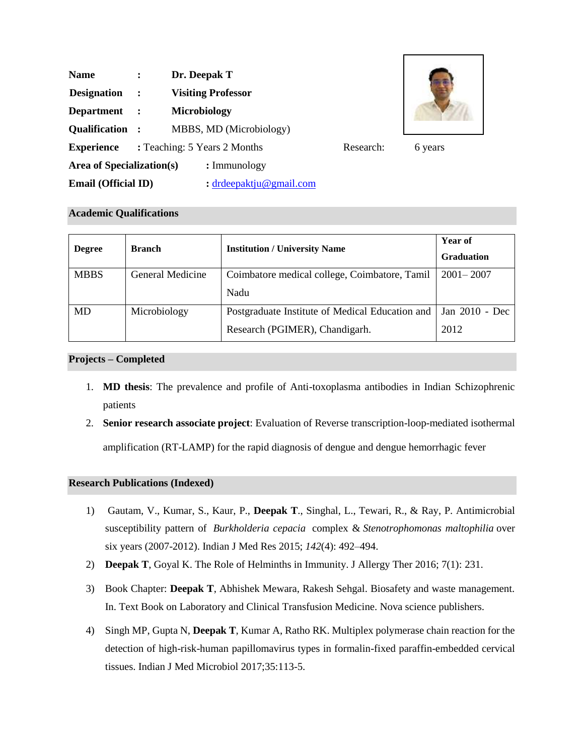| <b>Name</b>                |                      | Dr. Deepak T                              |  |         |
|----------------------------|----------------------|-------------------------------------------|--|---------|
| <b>Designation</b>         | $\sim$ $\sim$        | <b>Visiting Professor</b>                 |  |         |
| <b>Department</b>          | $\ddot{\phantom{1}}$ | <b>Microbiology</b>                       |  |         |
| Qualification :            |                      | MBBS, MD (Microbiology)                   |  |         |
| <b>Experience</b>          |                      | : Teaching: 5 Years 2 Months<br>Research: |  | 6 years |
| Area of Specialization(s)  |                      | $: \text{Immunology}$                     |  |         |
| <b>Email (Official ID)</b> |                      | : $drdeepaktju@gmail.com$                 |  |         |



# **Academic Qualifications**

| <b>Degree</b> | <b>Branch</b>    | <b>Institution / University Name</b>                             | Year of<br><b>Graduation</b> |
|---------------|------------------|------------------------------------------------------------------|------------------------------|
| <b>MBBS</b>   | General Medicine | Coimbatore medical college, Coimbatore, Tamil                    | $2001 - 2007$                |
|               |                  | Nadu                                                             |                              |
| <b>MD</b>     | Microbiology     | Postgraduate Institute of Medical Education and   Jan 2010 - Dec |                              |
|               |                  | Research (PGIMER), Chandigarh.                                   | 2012                         |

# **Projects – Completed**

- 1. **MD thesis**: The prevalence and profile of Anti-toxoplasma antibodies in Indian Schizophrenic patients
- 2. **Senior research associate project**: Evaluation of Reverse transcription-loop-mediated isothermal amplification (RT-LAMP) for the rapid diagnosis of dengue and dengue hemorrhagic fever

# **Research Publications (Indexed)**

- 1) Gautam, V., Kumar, S., Kaur, P., **Deepak T**., Singhal, L., Tewari, R., & Ray, P. Antimicrobial susceptibility pattern of *Burkholderia cepacia* complex & *Stenotrophomonas maltophilia* over six years (2007-2012). Indian J Med Res 2015; *142*(4): 492–494.
- 2) **Deepak T**, Goyal K. The Role of Helminths in Immunity. J Allergy Ther 2016; 7(1): 231.
- 3) Book Chapter: **Deepak T**, Abhishek Mewara, Rakesh Sehgal. Biosafety and waste management. In. Text Book on Laboratory and Clinical Transfusion Medicine. Nova science publishers.
- 4) Singh MP, Gupta N, **Deepak T**, Kumar A, Ratho RK. Multiplex polymerase chain reaction for the detection of high-risk-human papillomavirus types in formalin-fixed paraffin-embedded cervical tissues. Indian J Med Microbiol 2017;35:113-5.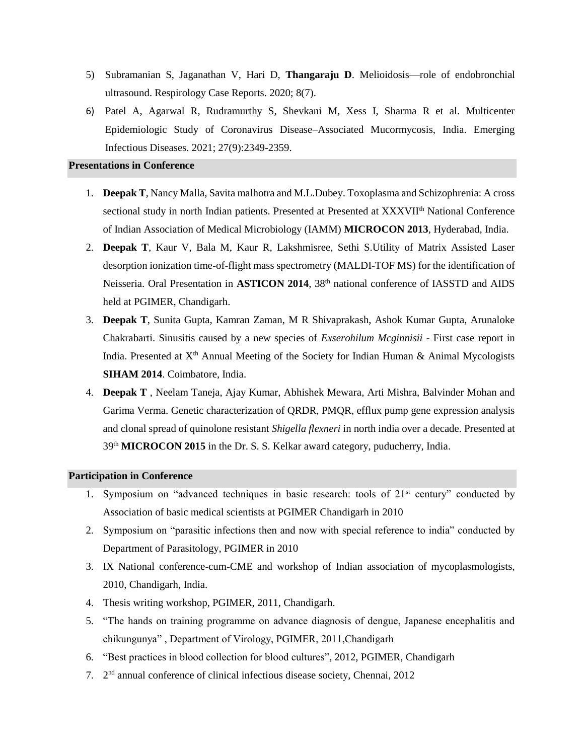- 5) Subramanian S, Jaganathan V, Hari D, **Thangaraju D**. Melioidosis—role of endobronchial ultrasound. Respirology Case Reports. 2020; 8(7).
- 6) Patel A, Agarwal R, Rudramurthy S, Shevkani M, Xess I, Sharma R et al. Multicenter Epidemiologic Study of Coronavirus Disease–Associated Mucormycosis, India. Emerging Infectious Diseases. 2021; 27(9):2349-2359.

### **Presentations in Conference**

- 1. **Deepak T**, Nancy Malla, Savita malhotra and M.L.Dubey. Toxoplasma and Schizophrenia: A cross sectional study in north Indian patients. Presented at Presented at XXXVII<sup>th</sup> National Conference of Indian Association of Medical Microbiology (IAMM) **MICROCON 2013**, Hyderabad, India.
- 2. **Deepak T**, Kaur V, Bala M, Kaur R, Lakshmisree, Sethi S.Utility of Matrix Assisted Laser desorption ionization time-of-flight mass spectrometry (MALDI-TOF MS) for the identification of Neisseria. Oral Presentation in **ASTICON 2014**, 38th national conference of IASSTD and AIDS held at PGIMER, Chandigarh.
- 3. **Deepak T**, Sunita Gupta, Kamran Zaman, M R Shivaprakash, Ashok Kumar Gupta, Arunaloke Chakrabarti. Sinusitis caused by a new species of *Exserohilum Mcginnisii* - First case report in India. Presented at  $X<sup>th</sup>$  Annual Meeting of the Society for Indian Human & Animal Mycologists **SIHAM 2014**. Coimbatore, India.
- 4. **Deepak T** , Neelam Taneja, Ajay Kumar, Abhishek Mewara, Arti Mishra, Balvinder Mohan and Garima Verma. Genetic characterization of QRDR, PMQR, efflux pump gene expression analysis and clonal spread of quinolone resistant *Shigella flexneri* in north india over a decade. Presented at 39th **MICROCON 2015** in the Dr. S. S. Kelkar award category, puducherry, India.

## **Participation in Conference**

- 1. Symposium on "advanced techniques in basic research: tools of  $21<sup>st</sup>$  century" conducted by Association of basic medical scientists at PGIMER Chandigarh in 2010
- 2. Symposium on "parasitic infections then and now with special reference to india" conducted by Department of Parasitology, PGIMER in 2010
- 3. IX National conference-cum-CME and workshop of Indian association of mycoplasmologists, 2010, Chandigarh, India.
- 4. Thesis writing workshop, PGIMER, 2011, Chandigarh.
- 5. "The hands on training programme on advance diagnosis of dengue, Japanese encephalitis and chikungunya" , Department of Virology, PGIMER, 2011,Chandigarh
- 6. "Best practices in blood collection for blood cultures", 2012, PGIMER, Chandigarh
- 7. 2 nd annual conference of clinical infectious disease society, Chennai, 2012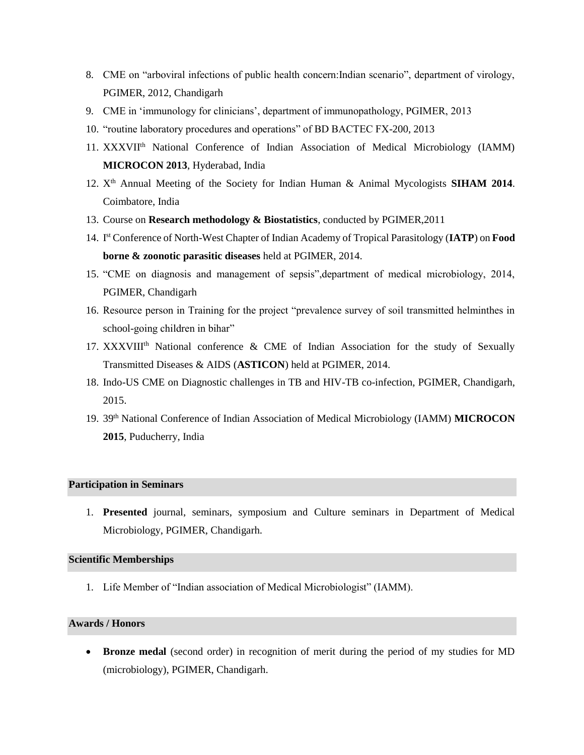- 8. CME on "arboviral infections of public health concern:Indian scenario", department of virology, PGIMER, 2012, Chandigarh
- 9. CME in 'immunology for clinicians', department of immunopathology, PGIMER, 2013
- 10. "routine laboratory procedures and operations" of BD BACTEC FX-200, 2013
- 11. XXXVIIth National Conference of Indian Association of Medical Microbiology (IAMM) **MICROCON 2013**, Hyderabad, India
- 12. X<sup>th</sup> Annual Meeting of the Society for Indian Human & Animal Mycologists **SIHAM 2014**. Coimbatore, India
- 13. Course on **Research methodology & Biostatistics**, conducted by PGIMER,2011
- 14. I st Conference of North-West Chapter of Indian Academy of Tropical Parasitology (**IATP**) on **Food borne & zoonotic parasitic diseases** held at PGIMER, 2014.
- 15. "CME on diagnosis and management of sepsis",department of medical microbiology, 2014, PGIMER, Chandigarh
- 16. Resource person in Training for the project "prevalence survey of soil transmitted helminthes in school-going children in bihar"
- 17. XXXVIII<sup>th</sup> National conference & CME of Indian Association for the study of Sexually Transmitted Diseases & AIDS (**ASTICON**) held at PGIMER, 2014.
- 18. Indo-US CME on Diagnostic challenges in TB and HIV-TB co-infection, PGIMER, Chandigarh, 2015.
- 19. 39th National Conference of Indian Association of Medical Microbiology (IAMM) **MICROCON 2015**, Puducherry, India

# **Participation in Seminars**

1. **Presented** journal, seminars, symposium and Culture seminars in Department of Medical Microbiology, PGIMER, Chandigarh.

### **Scientific Memberships**

1. Life Member of "Indian association of Medical Microbiologist" (IAMM).

## **Awards / Honors**

**Bronze medal** (second order) in recognition of merit during the period of my studies for MD (microbiology), PGIMER, Chandigarh.